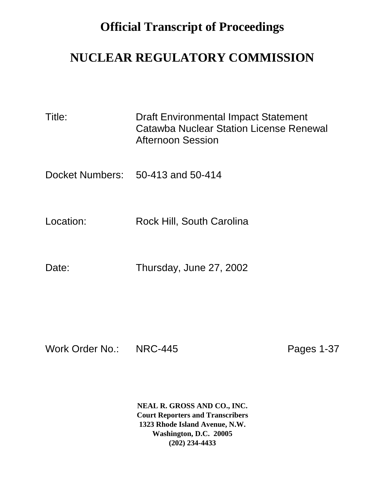## **Official Transcript of Proceedings**

## **NUCLEAR REGULATORY COMMISSION**

| Title:    | Draft Environmental Impact Statement<br>Catawba Nuclear Station License Renewal<br><b>Afternoon Session</b> |
|-----------|-------------------------------------------------------------------------------------------------------------|
|           | Docket Numbers: 50-413 and 50-414                                                                           |
| Location: | Rock Hill, South Carolina                                                                                   |
| Date:     | Thursday, June 27, 2002                                                                                     |

Work Order No.: NRC-445 Pages 1-37

**NEAL R. GROSS AND CO., INC. Court Reporters and Transcribers 1323 Rhode Island Avenue, N.W. Washington, D.C. 20005 (202) 234-4433**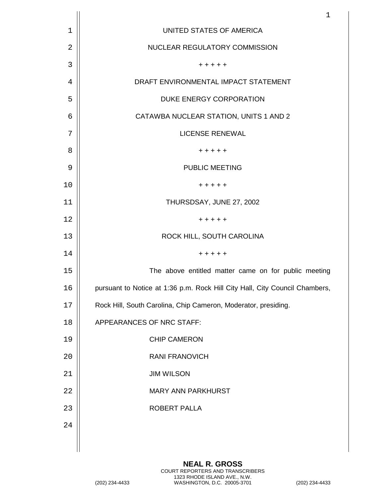|    | $\mathbf 1$                                                                 |
|----|-----------------------------------------------------------------------------|
| 1  | UNITED STATES OF AMERICA                                                    |
| 2  | NUCLEAR REGULATORY COMMISSION                                               |
| 3  | + + + + +                                                                   |
| 4  | DRAFT ENVIRONMENTAL IMPACT STATEMENT                                        |
| 5  | DUKE ENERGY CORPORATION                                                     |
| 6  | CATAWBA NUCLEAR STATION, UNITS 1 AND 2                                      |
| 7  | <b>LICENSE RENEWAL</b>                                                      |
| 8  | + + + + +                                                                   |
| 9  | <b>PUBLIC MEETING</b>                                                       |
| 10 | + + + + +                                                                   |
| 11 | THURSDSAY, JUNE 27, 2002                                                    |
| 12 | + + + + +                                                                   |
| 13 | ROCK HILL, SOUTH CAROLINA                                                   |
| 14 | + + + + +                                                                   |
| 15 | The above entitled matter came on for public meeting                        |
| 16 | pursuant to Notice at 1:36 p.m. Rock Hill City Hall, City Council Chambers, |
| 17 | Rock Hill, South Carolina, Chip Cameron, Moderator, presiding.              |
| 18 | APPEARANCES OF NRC STAFF:                                                   |
| 19 | <b>CHIP CAMERON</b>                                                         |
| 20 | <b>RANI FRANOVICH</b>                                                       |
| 21 | <b>JIM WILSON</b>                                                           |
| 22 | <b>MARY ANN PARKHURST</b>                                                   |
| 23 | ROBERT PALLA                                                                |
| 24 |                                                                             |
|    |                                                                             |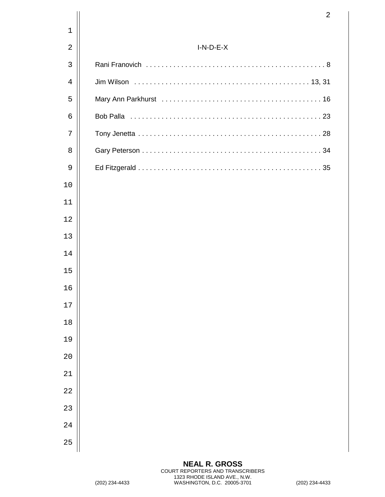|                | $\overline{2}$ |
|----------------|----------------|
| $\mathbf 1$    |                |
| $\overline{2}$ | $I-N-D-E-X$    |
| 3              |                |
| $\overline{4}$ |                |
| 5              |                |
| 6              |                |
| 7              |                |
| 8              |                |
| 9              |                |
| 10             |                |
| 11             |                |
| 12             |                |
| 13             |                |
| 14             |                |
| 15             |                |
| 16             |                |
| $17$           |                |
| $18\,$         |                |
| 19             |                |
| 20             |                |
| 21             |                |
| 22             |                |
| 23             |                |
| 24             |                |
| 25             |                |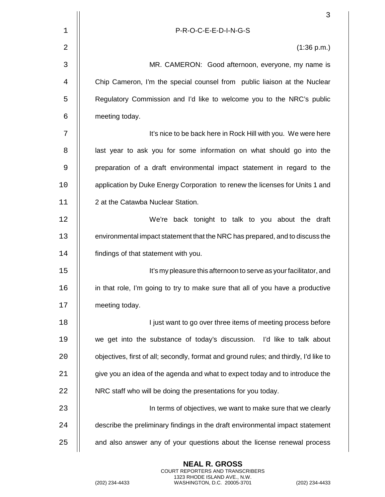|       | 3                                                                                     |
|-------|---------------------------------------------------------------------------------------|
| $1\,$ | P-R-O-C-E-E-D-I-N-G-S                                                                 |
| 2     | (1:36 p.m.)                                                                           |
| 3     | MR. CAMERON: Good afternoon, everyone, my name is                                     |
| 4     | Chip Cameron, I'm the special counsel from public liaison at the Nuclear              |
| 5     | Regulatory Commission and I'd like to welcome you to the NRC's public                 |
| 6     | meeting today.                                                                        |
| 7     | It's nice to be back here in Rock Hill with you. We were here                         |
| 8     | last year to ask you for some information on what should go into the                  |
| 9     | preparation of a draft environmental impact statement in regard to the                |
| 10    | application by Duke Energy Corporation to renew the licenses for Units 1 and          |
| 11    | 2 at the Catawba Nuclear Station.                                                     |
| 12    | We're back tonight to talk to you about the draft                                     |
| 13    | environmental impact statement that the NRC has prepared, and to discuss the          |
| 14    | findings of that statement with you.                                                  |
| 15    | It's my pleasure this afternoon to serve as your facilitator, and                     |
| 16    | in that role, I'm going to try to make sure that all of you have a productive         |
| 17    | meeting today.                                                                        |
| 18    | I just want to go over three items of meeting process before                          |
| 19    | we get into the substance of today's discussion. I'd like to talk about               |
| 20    | objectives, first of all; secondly, format and ground rules; and thirdly, I'd like to |
| 21    | give you an idea of the agenda and what to expect today and to introduce the          |
| 22    | NRC staff who will be doing the presentations for you today.                          |
| 23    | In terms of objectives, we want to make sure that we clearly                          |
| 24    | describe the preliminary findings in the draft environmental impact statement         |
| 25    | and also answer any of your questions about the license renewal process               |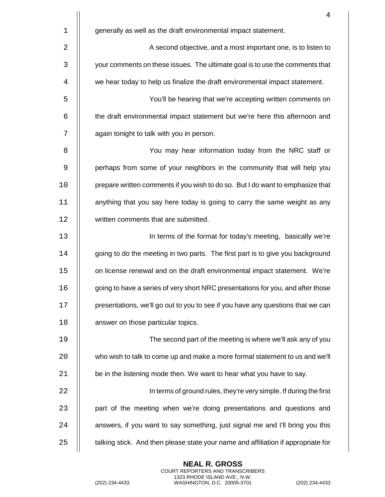|    | 4                                                                                 |
|----|-----------------------------------------------------------------------------------|
| 1  | generally as well as the draft environmental impact statement.                    |
| 2  | A second objective, and a most important one, is to listen to                     |
| 3  | your comments on these issues. The ultimate goal is to use the comments that      |
| 4  | we hear today to help us finalize the draft environmental impact statement.       |
| 5  | You'll be hearing that we're accepting written comments on                        |
| 6  | the draft environmental impact statement but we're here this afternoon and        |
| 7  | again tonight to talk with you in person.                                         |
| 8  | You may hear information today from the NRC staff or                              |
| 9  | perhaps from some of your neighbors in the community that will help you           |
| 10 | prepare written comments if you wish to do so. But I do want to emphasize that    |
| 11 | anything that you say here today is going to carry the same weight as any         |
| 12 | written comments that are submitted.                                              |
| 13 | In terms of the format for today's meeting, basically we're                       |
| 14 | going to do the meeting in two parts. The first part is to give you background    |
| 15 | on license renewal and on the draft environmental impact statement. We're         |
| 16 | going to have a series of very short NRC presentations for you, and after those   |
| 17 | presentations, we'll go out to you to see if you have any questions that we can   |
| 18 | answer on those particular topics.                                                |
| 19 | The second part of the meeting is where we'll ask any of you                      |
| 20 | who wish to talk to come up and make a more formal statement to us and we'll      |
| 21 | be in the listening mode then. We want to hear what you have to say.              |
| 22 | In terms of ground rules, they're very simple. If during the first                |
| 23 | part of the meeting when we're doing presentations and questions and              |
| 24 | answers, if you want to say something, just signal me and I'll bring you this     |
| 25 | talking stick. And then please state your name and affiliation if appropriate for |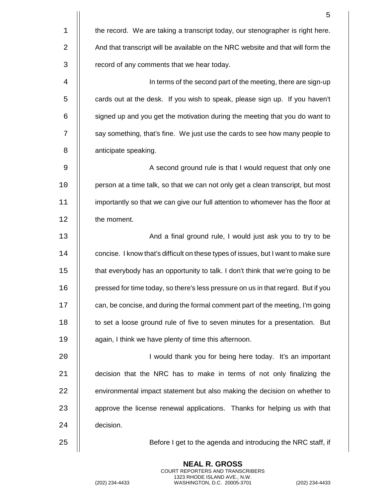|                | 5                                                                                  |
|----------------|------------------------------------------------------------------------------------|
| $\mathbf 1$    | the record. We are taking a transcript today, our stenographer is right here.      |
| 2              | And that transcript will be available on the NRC website and that will form the    |
| $\mathsf{3}$   | record of any comments that we hear today.                                         |
| $\overline{4}$ | In terms of the second part of the meeting, there are sign-up                      |
| 5              | cards out at the desk. If you wish to speak, please sign up. If you haven't        |
| 6              | signed up and you get the motivation during the meeting that you do want to        |
| 7              | say something, that's fine. We just use the cards to see how many people to        |
| 8              | anticipate speaking.                                                               |
| 9              | A second ground rule is that I would request that only one                         |
| 10             | person at a time talk, so that we can not only get a clean transcript, but most    |
| 11             | importantly so that we can give our full attention to whomever has the floor at    |
| 12             | the moment.                                                                        |
| 13             | And a final ground rule, I would just ask you to try to be                         |
| 14             | concise. I know that's difficult on these types of issues, but I want to make sure |
| 15             | that everybody has an opportunity to talk. I don't think that we're going to be    |
| 16             | pressed for time today, so there's less pressure on us in that regard. But if you  |
| 17             | can, be concise, and during the formal comment part of the meeting, I'm going      |
| 18             | to set a loose ground rule of five to seven minutes for a presentation. But        |
| 19             | again, I think we have plenty of time this afternoon.                              |
| 20             | I would thank you for being here today. It's an important                          |
| 21             | decision that the NRC has to make in terms of not only finalizing the              |
| 22             | environmental impact statement but also making the decision on whether to          |
| 23             | approve the license renewal applications. Thanks for helping us with that          |
| 24             | decision.                                                                          |
| 25             | Before I get to the agenda and introducing the NRC staff, if                       |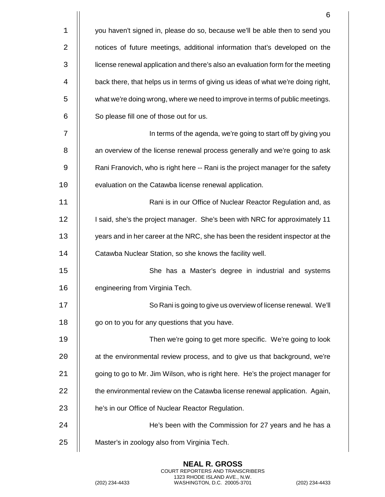|    | 6                                                                                |
|----|----------------------------------------------------------------------------------|
| 1  | you haven't signed in, please do so, because we'll be able then to send you      |
| 2  | notices of future meetings, additional information that's developed on the       |
| 3  | license renewal application and there's also an evaluation form for the meeting  |
| 4  | back there, that helps us in terms of giving us ideas of what we're doing right, |
| 5  | what we're doing wrong, where we need to improve in terms of public meetings.    |
| 6  | So please fill one of those out for us.                                          |
| 7  | In terms of the agenda, we're going to start off by giving you                   |
| 8  | an overview of the license renewal process generally and we're going to ask      |
| 9  | Rani Franovich, who is right here -- Rani is the project manager for the safety  |
| 10 | evaluation on the Catawba license renewal application.                           |
| 11 | Rani is in our Office of Nuclear Reactor Regulation and, as                      |
| 12 | I said, she's the project manager. She's been with NRC for approximately 11      |
| 13 | years and in her career at the NRC, she has been the resident inspector at the   |
| 14 | Catawba Nuclear Station, so she knows the facility well.                         |
| 15 | She has a Master's degree in industrial and systems                              |
| 16 | engineering from Virginia Tech.                                                  |
| 17 | So Rani is going to give us overview of license renewal. We'll                   |
| 18 | go on to you for any questions that you have.                                    |
| 19 | Then we're going to get more specific. We're going to look                       |
| 20 | at the environmental review process, and to give us that background, we're       |
| 21 | going to go to Mr. Jim Wilson, who is right here. He's the project manager for   |
| 22 | the environmental review on the Catawba license renewal application. Again,      |
| 23 | he's in our Office of Nuclear Reactor Regulation.                                |
| 24 | He's been with the Commission for 27 years and he has a                          |
| 25 | Master's in zoology also from Virginia Tech.                                     |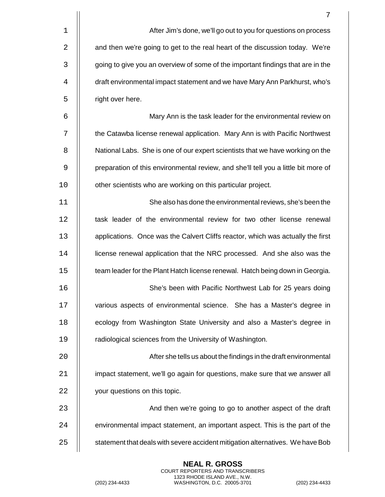|             | 7                                                                                  |
|-------------|------------------------------------------------------------------------------------|
| $\mathbf 1$ | After Jim's done, we'll go out to you for questions on process                     |
| 2           | and then we're going to get to the real heart of the discussion today. We're       |
| 3           | going to give you an overview of some of the important findings that are in the    |
| 4           | draft environmental impact statement and we have Mary Ann Parkhurst, who's         |
| 5           | right over here.                                                                   |
| 6           | Mary Ann is the task leader for the environmental review on                        |
| 7           | the Catawba license renewal application. Mary Ann is with Pacific Northwest        |
| 8           | National Labs. She is one of our expert scientists that we have working on the     |
| 9           | preparation of this environmental review, and she'll tell you a little bit more of |
| 10          | other scientists who are working on this particular project.                       |
| 11          | She also has done the environmental reviews, she's been the                        |
| 12          | task leader of the environmental review for two other license renewal              |
| 13          | applications. Once was the Calvert Cliffs reactor, which was actually the first    |
| 14          | license renewal application that the NRC processed. And she also was the           |
| 15          | team leader for the Plant Hatch license renewal. Hatch being down in Georgia.      |
| 16          | She's been with Pacific Northwest Lab for 25 years doing                           |
| 17          | various aspects of environmental science. She has a Master's degree in             |
| 18          | ecology from Washington State University and also a Master's degree in             |
| 19          | radiological sciences from the University of Washington.                           |
| 20          | After she tells us about the findings in the draft environmental                   |
| 21          | impact statement, we'll go again for questions, make sure that we answer all       |
| 22          | your questions on this topic.                                                      |
| 23          | And then we're going to go to another aspect of the draft                          |
| 24          | environmental impact statement, an important aspect. This is the part of the       |
| 25          | statement that deals with severe accident mitigation alternatives. We have Bob     |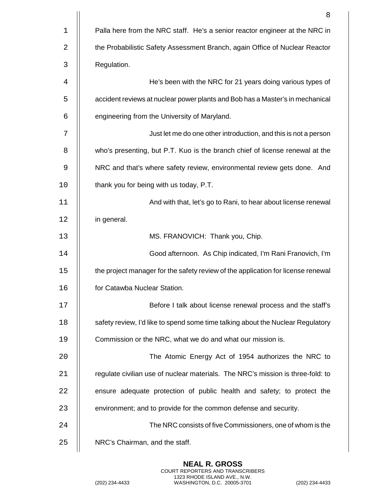|    | 8                                                                                |
|----|----------------------------------------------------------------------------------|
| 1  | Palla here from the NRC staff. He's a senior reactor engineer at the NRC in      |
| 2  | the Probabilistic Safety Assessment Branch, again Office of Nuclear Reactor      |
| 3  | Regulation.                                                                      |
| 4  | He's been with the NRC for 21 years doing various types of                       |
| 5  | accident reviews at nuclear power plants and Bob has a Master's in mechanical    |
| 6  | engineering from the University of Maryland.                                     |
| 7  | Just let me do one other introduction, and this is not a person                  |
| 8  | who's presenting, but P.T. Kuo is the branch chief of license renewal at the     |
| 9  | NRC and that's where safety review, environmental review gets done. And          |
| 10 | thank you for being with us today, P.T.                                          |
| 11 | And with that, let's go to Rani, to hear about license renewal                   |
| 12 | in general.                                                                      |
| 13 | MS. FRANOVICH: Thank you, Chip.                                                  |
| 14 | Good afternoon. As Chip indicated, I'm Rani Franovich, I'm                       |
| 15 | the project manager for the safety review of the application for license renewal |
| 16 | for Catawba Nuclear Station.                                                     |
| 17 | Before I talk about license renewal process and the staff's                      |
| 18 | safety review, I'd like to spend some time talking about the Nuclear Regulatory  |
| 19 | Commission or the NRC, what we do and what our mission is.                       |
| 20 | The Atomic Energy Act of 1954 authorizes the NRC to                              |
| 21 | regulate civilian use of nuclear materials. The NRC's mission is three-fold: to  |
| 22 | ensure adequate protection of public health and safety; to protect the           |
| 23 | environment; and to provide for the common defense and security.                 |
| 24 | The NRC consists of five Commissioners, one of whom is the                       |
| 25 | NRC's Chairman, and the staff.                                                   |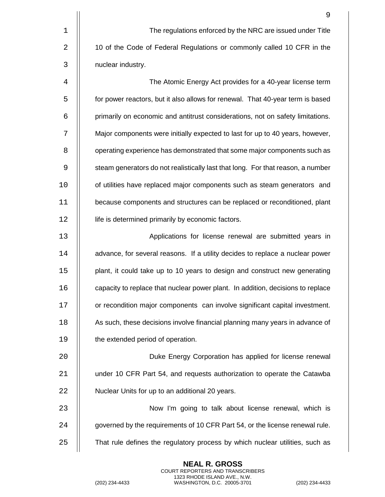|             | 9                                                                               |
|-------------|---------------------------------------------------------------------------------|
| $\mathbf 1$ | The regulations enforced by the NRC are issued under Title                      |
| 2           | 10 of the Code of Federal Regulations or commonly called 10 CFR in the          |
| 3           | nuclear industry.                                                               |
| 4           | The Atomic Energy Act provides for a 40-year license term                       |
| 5           | for power reactors, but it also allows for renewal. That 40-year term is based  |
| 6           | primarily on economic and antitrust considerations, not on safety limitations.  |
| 7           | Major components were initially expected to last for up to 40 years, however,   |
| 8           | operating experience has demonstrated that some major components such as        |
| 9           | steam generators do not realistically last that long. For that reason, a number |
| 10          | of utilities have replaced major components such as steam generators and        |
| 11          | because components and structures can be replaced or reconditioned, plant       |
| 12          | life is determined primarily by economic factors.                               |
| 13          | Applications for license renewal are submitted years in                         |
| 14          | advance, for several reasons. If a utility decides to replace a nuclear power   |
| 15          | plant, it could take up to 10 years to design and construct new generating      |
| 16          | capacity to replace that nuclear power plant. In addition, decisions to replace |
| 17          | or recondition major components can involve significant capital investment.     |
| 18          | As such, these decisions involve financial planning many years in advance of    |
| 19          | the extended period of operation.                                               |
| 20          | Duke Energy Corporation has applied for license renewal                         |
| 21          | under 10 CFR Part 54, and requests authorization to operate the Catawba         |
| 22          | Nuclear Units for up to an additional 20 years.                                 |
| 23          | Now I'm going to talk about license renewal, which is                           |
| 24          | governed by the requirements of 10 CFR Part 54, or the license renewal rule.    |
| 25          | That rule defines the regulatory process by which nuclear utilities, such as    |

(202) 234-4433 WASHINGTON, D.C. 20005-3701 (202) 234-4433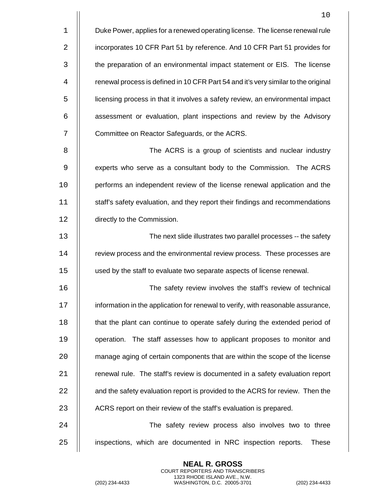|             | 10                                                                                 |
|-------------|------------------------------------------------------------------------------------|
| $\mathbf 1$ | Duke Power, applies for a renewed operating license. The license renewal rule      |
| 2           | incorporates 10 CFR Part 51 by reference. And 10 CFR Part 51 provides for          |
| 3           | the preparation of an environmental impact statement or EIS. The license           |
| 4           | renewal process is defined in 10 CFR Part 54 and it's very similar to the original |
| 5           | licensing process in that it involves a safety review, an environmental impact     |
| 6           | assessment or evaluation, plant inspections and review by the Advisory             |
| 7           | Committee on Reactor Safeguards, or the ACRS.                                      |
| 8           | The ACRS is a group of scientists and nuclear industry                             |
| 9           | experts who serve as a consultant body to the Commission. The ACRS                 |
| 10          | performs an independent review of the license renewal application and the          |
| 11          | staff's safety evaluation, and they report their findings and recommendations      |
| 12          | directly to the Commission.                                                        |
| 13          | The next slide illustrates two parallel processes -- the safety                    |
| 14          | review process and the environmental review process. These processes are           |
| 15          | used by the staff to evaluate two separate aspects of license renewal.             |
| 16          | The safety review involves the staff's review of technical                         |
| 17          | information in the application for renewal to verify, with reasonable assurance,   |
| 18          | that the plant can continue to operate safely during the extended period of        |
| 19          | operation. The staff assesses how to applicant proposes to monitor and             |
| 20          | manage aging of certain components that are within the scope of the license        |
| 21          | renewal rule. The staff's review is documented in a safety evaluation report       |
| 22          | and the safety evaluation report is provided to the ACRS for review. Then the      |
| 23          | ACRS report on their review of the staff's evaluation is prepared.                 |
| 24          | The safety review process also involves two to three                               |
| 25          | inspections, which are documented in NRC inspection reports.<br>These              |

(202) 234-4433 WASHINGTON, D.C. 20005-3701 (202) 234-4433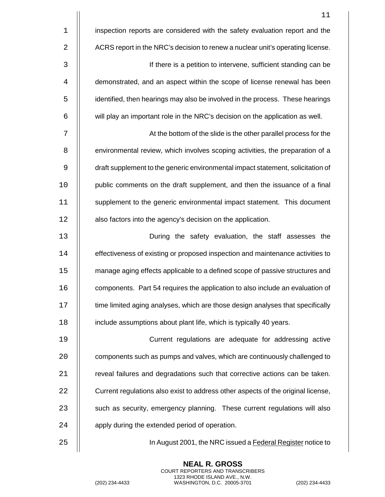1 | inspection reports are considered with the safety evaluation report and the 2 **ACRS** report in the NRC's decision to renew a nuclear unit's operating license.

 If there is a petition to intervene, sufficient standing can be 4 | demonstrated, and an aspect within the scope of license renewal has been identified, then hearings may also be involved in the process. These hearings  $\parallel$  will play an important role in the NRC's decision on the application as well.

7 At the bottom of the slide is the other parallel process for the 8 | environmental review, which involves scoping activities, the preparation of a 9 draft supplement to the generic environmental impact statement, solicitation of 10 | public comments on the draft supplement, and then the issuance of a final 11 | supplement to the generic environmental impact statement. This document 12 | also factors into the agency's decision on the application.

 During the safety evaluation, the staff assesses the **effectiveness of existing or proposed inspection and maintenance activities to**  manage aging effects applicable to a defined scope of passive structures and components. Part 54 requires the application to also include an evaluation of **time limited aging analyses, which are those design analyses that specifically** 18 | include assumptions about plant life, which is typically 40 years.

19 Current regulations are adequate for addressing active 20 **components such as pumps and valves, which are continuously challenged to** 21 **Fig.** reveal failures and degradations such that corrective actions can be taken. 22 | Current regulations also exist to address other aspects of the original license, 23 | such as security, emergency planning. These current regulations will also 24 | apply during the extended period of operation.

25 In August 2001, the NRC issued a Federal Register notice to

**NEAL R. GROSS** COURT REPORTERS AND TRANSCRIBERS 1323 RHODE ISLAND AVE., N.W.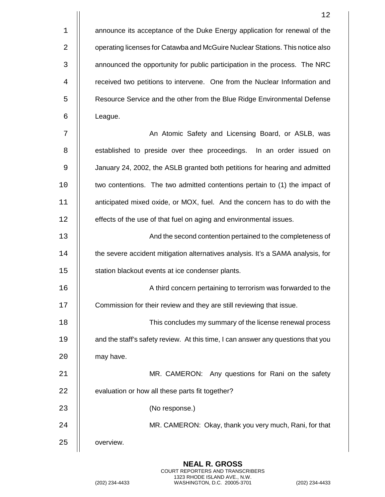1 | announce its acceptance of the Duke Energy application for renewal of the 2 **Fig. 3** operating licenses for Catawba and McGuire Nuclear Stations. This notice also 3 | announced the opportunity for public participation in the process. The NRC 4 | received two petitions to intervene. One from the Nuclear Information and 5 **Fig. 2.** Resource Service and the other from the Blue Ridge Environmental Defense 6 League.

7 || An Atomic Safety and Licensing Board, or ASLB, was 8 | established to preside over thee proceedings. In an order issued on 9 January 24, 2002, the ASLB granted both petitions for hearing and admitted 10 two contentions. The two admitted contentions pertain to (1) the impact of 11 anticipated mixed oxide, or MOX, fuel. And the concern has to do with the 12 | effects of the use of that fuel on aging and environmental issues.

13 And the second contention pertained to the completeness of 14 **the severe accident mitigation alternatives analysis. It's a SAMA analysis, for** 15 | station blackout events at ice condenser plants.

16 A third concern pertaining to terrorism was forwarded to the

17 **Commission for their review and they are still reviewing that issue.** 

18 This concludes my summary of the license renewal process 19 **1** and the staff's safety review. At this time, I can answer any questions that you 20 | may have.

21 MR. CAMERON: Any questions for Rani on the safety 22 | evaluation or how all these parts fit together? 23 (No response.)

24 MR. CAMERON: Okay, thank you very much, Rani, for that

25 | overview.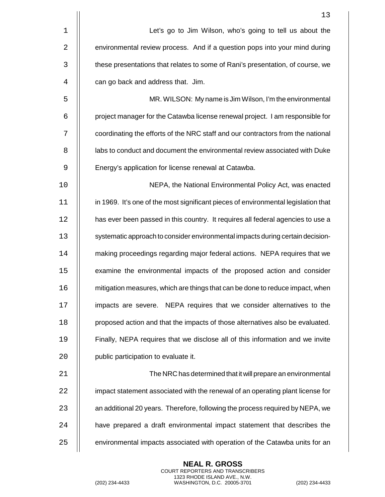|    | 13                                                                                 |
|----|------------------------------------------------------------------------------------|
| 1  | Let's go to Jim Wilson, who's going to tell us about the                           |
| 2  | environmental review process. And if a question pops into your mind during         |
| 3  | these presentations that relates to some of Rani's presentation, of course, we     |
| 4  | can go back and address that. Jim.                                                 |
| 5  | MR. WILSON: My name is Jim Wilson, I'm the environmental                           |
| 6  | project manager for the Catawba license renewal project. I am responsible for      |
| 7  | coordinating the efforts of the NRC staff and our contractors from the national    |
| 8  | labs to conduct and document the environmental review associated with Duke         |
| 9  | Energy's application for license renewal at Catawba.                               |
| 10 | NEPA, the National Environmental Policy Act, was enacted                           |
| 11 | in 1969. It's one of the most significant pieces of environmental legislation that |
| 12 | has ever been passed in this country. It requires all federal agencies to use a    |
| 13 | systematic approach to consider environmental impacts during certain decision-     |
| 14 | making proceedings regarding major federal actions. NEPA requires that we          |
| 15 | examine the environmental impacts of the proposed action and consider              |
| 16 | mitigation measures, which are things that can be done to reduce impact, when      |
| 17 | impacts are severe. NEPA requires that we consider alternatives to the             |
| 18 | proposed action and that the impacts of those alternatives also be evaluated.      |
| 19 | Finally, NEPA requires that we disclose all of this information and we invite      |
| 20 | public participation to evaluate it.                                               |
| 21 | The NRC has determined that it will prepare an environmental                       |
| 22 | impact statement associated with the renewal of an operating plant license for     |
| 23 | an additional 20 years. Therefore, following the process required by NEPA, we      |
| 24 | have prepared a draft environmental impact statement that describes the            |
| 25 | environmental impacts associated with operation of the Catawba units for an        |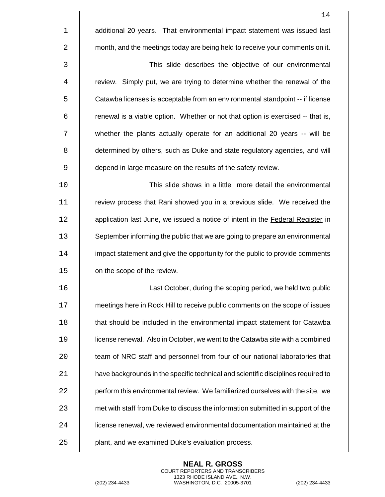|             | 14                                                                                |
|-------------|-----------------------------------------------------------------------------------|
| $\mathbf 1$ | additional 20 years. That environmental impact statement was issued last          |
| 2           | month, and the meetings today are being held to receive your comments on it.      |
| 3           | This slide describes the objective of our environmental                           |
| 4           | review. Simply put, we are trying to determine whether the renewal of the         |
| 5           | Catawba licenses is acceptable from an environmental standpoint -- if license     |
| 6           | renewal is a viable option. Whether or not that option is exercised -- that is,   |
| 7           | whether the plants actually operate for an additional 20 years -- will be         |
| 8           | determined by others, such as Duke and state regulatory agencies, and will        |
| 9           | depend in large measure on the results of the safety review.                      |
| 10          | This slide shows in a little more detail the environmental                        |
| 11          | review process that Rani showed you in a previous slide. We received the          |
| 12          | application last June, we issued a notice of intent in the Federal Register in    |
| 13          | September informing the public that we are going to prepare an environmental      |
| 14          | impact statement and give the opportunity for the public to provide comments      |
| 15          | on the scope of the review.                                                       |
| 16          | Last October, during the scoping period, we held two public                       |
| 17          | meetings here in Rock Hill to receive public comments on the scope of issues      |
| 18          | that should be included in the environmental impact statement for Catawba         |
| 19          | license renewal. Also in October, we went to the Catawba site with a combined     |
| 20          | team of NRC staff and personnel from four of our national laboratories that       |
| 21          | have backgrounds in the specific technical and scientific disciplines required to |
| 22          | perform this environmental review. We familiarized ourselves with the site, we    |
| 23          | met with staff from Duke to discuss the information submitted in support of the   |
| 24          | license renewal, we reviewed environmental documentation maintained at the        |
| 25          | plant, and we examined Duke's evaluation process.                                 |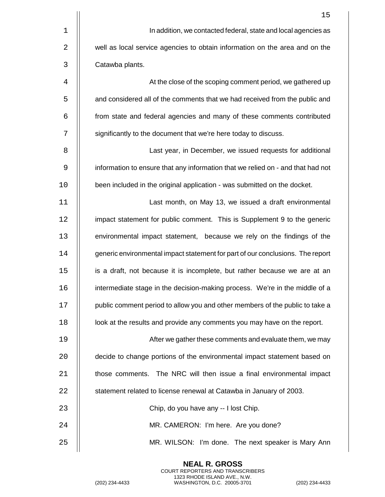|    | 15                                                                              |
|----|---------------------------------------------------------------------------------|
| 1  | In addition, we contacted federal, state and local agencies as                  |
| 2  | well as local service agencies to obtain information on the area and on the     |
| 3  | Catawba plants.                                                                 |
| 4  | At the close of the scoping comment period, we gathered up                      |
| 5  | and considered all of the comments that we had received from the public and     |
| 6  | from state and federal agencies and many of these comments contributed          |
| 7  | significantly to the document that we're here today to discuss.                 |
| 8  | Last year, in December, we issued requests for additional                       |
| 9  | information to ensure that any information that we relied on - and that had not |
| 10 | been included in the original application - was submitted on the docket.        |
| 11 | Last month, on May 13, we issued a draft environmental                          |
| 12 | impact statement for public comment. This is Supplement 9 to the generic        |
| 13 | environmental impact statement, because we rely on the findings of the          |
| 14 | generic environmental impact statement for part of our conclusions. The report  |
| 15 | is a draft, not because it is incomplete, but rather because we are at an       |
| 16 | intermediate stage in the decision-making process. We're in the middle of a     |
| 17 | public comment period to allow you and other members of the public to take a    |
| 18 | look at the results and provide any comments you may have on the report.        |
| 19 | After we gather these comments and evaluate them, we may                        |
| 20 | decide to change portions of the environmental impact statement based on        |
| 21 | those comments. The NRC will then issue a final environmental impact            |
| 22 | statement related to license renewal at Catawba in January of 2003.             |
| 23 | Chip, do you have any -- I lost Chip.                                           |
| 24 | MR. CAMERON: I'm here. Are you done?                                            |
| 25 | MR. WILSON: I'm done. The next speaker is Mary Ann                              |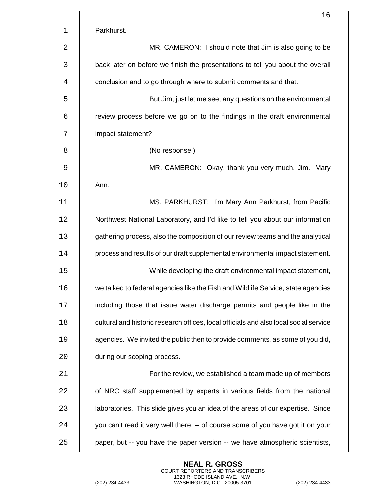|             | 16                                                                                    |
|-------------|---------------------------------------------------------------------------------------|
| $\mathbf 1$ | Parkhurst.                                                                            |
| 2           | MR. CAMERON: I should note that Jim is also going to be                               |
| 3           | back later on before we finish the presentations to tell you about the overall        |
| 4           | conclusion and to go through where to submit comments and that.                       |
| 5           | But Jim, just let me see, any questions on the environmental                          |
| 6           | review process before we go on to the findings in the draft environmental             |
| 7           | impact statement?                                                                     |
| 8           | (No response.)                                                                        |
| 9           | MR. CAMERON: Okay, thank you very much, Jim. Mary                                     |
| 10          | Ann.                                                                                  |
| 11          | MS. PARKHURST: I'm Mary Ann Parkhurst, from Pacific                                   |
| 12          | Northwest National Laboratory, and I'd like to tell you about our information         |
| 13          | gathering process, also the composition of our review teams and the analytical        |
| 14          | process and results of our draft supplemental environmental impact statement.         |
| 15          | While developing the draft environmental impact statement,                            |
| 16          | we talked to federal agencies like the Fish and Wildlife Service, state agencies      |
| 17          | including those that issue water discharge permits and people like in the             |
| 18          | cultural and historic research offices, local officials and also local social service |
| 19          | agencies. We invited the public then to provide comments, as some of you did,         |
| 20          | during our scoping process.                                                           |
| 21          | For the review, we established a team made up of members                              |
| 22          | of NRC staff supplemented by experts in various fields from the national              |
| 23          | laboratories. This slide gives you an idea of the areas of our expertise. Since       |
| 24          | you can't read it very well there, -- of course some of you have got it on your       |
| 25          | paper, but -- you have the paper version -- we have atmospheric scientists,           |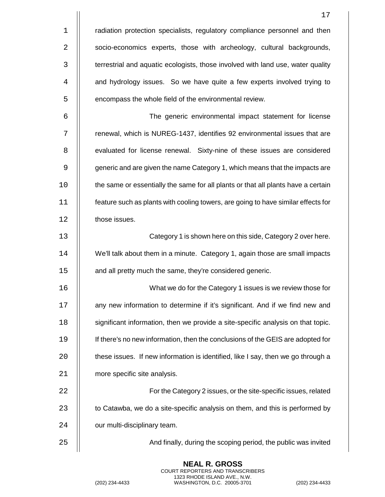|             | 17                                                                                |
|-------------|-----------------------------------------------------------------------------------|
| $\mathbf 1$ | radiation protection specialists, regulatory compliance personnel and then        |
| 2           | socio-economics experts, those with archeology, cultural backgrounds,             |
| 3           | terrestrial and aquatic ecologists, those involved with land use, water quality   |
| 4           | and hydrology issues. So we have quite a few experts involved trying to           |
| 5           | encompass the whole field of the environmental review.                            |
| 6           | The generic environmental impact statement for license                            |
| 7           | renewal, which is NUREG-1437, identifies 92 environmental issues that are         |
| 8           | evaluated for license renewal. Sixty-nine of these issues are considered          |
| 9           | generic and are given the name Category 1, which means that the impacts are       |
| 10          | the same or essentially the same for all plants or that all plants have a certain |
| 11          | feature such as plants with cooling towers, are going to have similar effects for |
| 12          | those issues.                                                                     |
| 13          | Category 1 is shown here on this side, Category 2 over here.                      |
| 14          | We'll talk about them in a minute. Category 1, again those are small impacts      |
| 15          | and all pretty much the same, they're considered generic.                         |
| 16          | What we do for the Category 1 issues is we review those for                       |
| 17          | any new information to determine if it's significant. And if we find new and      |
| 18          | significant information, then we provide a site-specific analysis on that topic.  |
| 19          | If there's no new information, then the conclusions of the GEIS are adopted for   |
| 20          | these issues. If new information is identified, like I say, then we go through a  |
| 21          | more specific site analysis.                                                      |
| 22          | For the Category 2 issues, or the site-specific issues, related                   |
| 23          | to Catawba, we do a site-specific analysis on them, and this is performed by      |
| 24          | our multi-disciplinary team.                                                      |
| 25          | And finally, during the scoping period, the public was invited                    |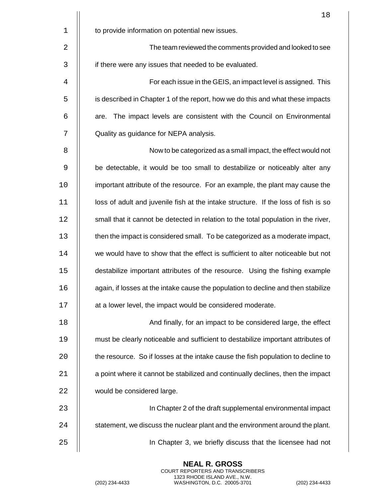|             | 18                                                                                 |
|-------------|------------------------------------------------------------------------------------|
| $\mathbf 1$ | to provide information on potential new issues.                                    |
| 2           | The team reviewed the comments provided and looked to see                          |
| 3           | if there were any issues that needed to be evaluated.                              |
| 4           | For each issue in the GEIS, an impact level is assigned. This                      |
| 5           | is described in Chapter 1 of the report, how we do this and what these impacts     |
| 6           | The impact levels are consistent with the Council on Environmental<br>are.         |
| 7           | Quality as guidance for NEPA analysis.                                             |
| 8           | Now to be categorized as a small impact, the effect would not                      |
| 9           | be detectable, it would be too small to destabilize or noticeably alter any        |
| 10          | important attribute of the resource. For an example, the plant may cause the       |
| 11          | loss of adult and juvenile fish at the intake structure. If the loss of fish is so |
| 12          | small that it cannot be detected in relation to the total population in the river, |
| 13          | then the impact is considered small. To be categorized as a moderate impact,       |
| 14          | we would have to show that the effect is sufficient to alter noticeable but not    |
| 15          | destabilize important attributes of the resource. Using the fishing example        |
| 16          | again, if losses at the intake cause the population to decline and then stabilize  |
| 17          | at a lower level, the impact would be considered moderate.                         |
| 18          | And finally, for an impact to be considered large, the effect                      |
| 19          | must be clearly noticeable and sufficient to destabilize important attributes of   |
| 20          | the resource. So if losses at the intake cause the fish population to decline to   |
| 21          | a point where it cannot be stabilized and continually declines, then the impact    |
| 22          | would be considered large.                                                         |
| 23          | In Chapter 2 of the draft supplemental environmental impact                        |
| 24          | statement, we discuss the nuclear plant and the environment around the plant.      |
| 25          | In Chapter 3, we briefly discuss that the licensee had not                         |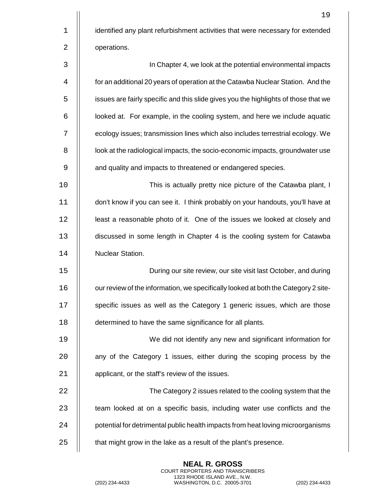|             | 19                                                                                  |
|-------------|-------------------------------------------------------------------------------------|
| $\mathbf 1$ | identified any plant refurbishment activities that were necessary for extended      |
| 2           | operations.                                                                         |
| 3           | In Chapter 4, we look at the potential environmental impacts                        |
| 4           | for an additional 20 years of operation at the Catawba Nuclear Station. And the     |
| 5           | issues are fairly specific and this slide gives you the highlights of those that we |
| 6           | looked at. For example, in the cooling system, and here we include aquatic          |
| 7           | ecology issues; transmission lines which also includes terrestrial ecology. We      |
| 8           | look at the radiological impacts, the socio-economic impacts, groundwater use       |
| 9           | and quality and impacts to threatened or endangered species.                        |
| 10          | This is actually pretty nice picture of the Catawba plant, I                        |
| 11          | don't know if you can see it. I think probably on your handouts, you'll have at     |
| 12          | least a reasonable photo of it. One of the issues we looked at closely and          |
| 13          | discussed in some length in Chapter 4 is the cooling system for Catawba             |
| 14          | Nuclear Station.                                                                    |
| 15          | During our site review, our site visit last October, and during                     |
| 16          | our review of the information, we specifically looked at both the Category 2 site-  |
| 17          | specific issues as well as the Category 1 generic issues, which are those           |
| 18          | determined to have the same significance for all plants.                            |
| 19          | We did not identify any new and significant information for                         |
| 20          | any of the Category 1 issues, either during the scoping process by the              |
| 21          | applicant, or the staff's review of the issues.                                     |
| 22          | The Category 2 issues related to the cooling system that the                        |
| 23          | team looked at on a specific basis, including water use conflicts and the           |
| 24          | potential for detrimental public health impacts from heat loving microorganisms     |
| 25          | that might grow in the lake as a result of the plant's presence.                    |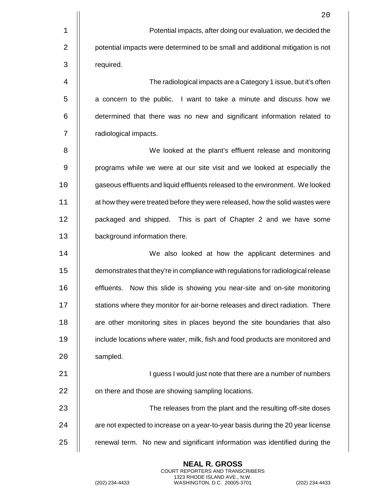|             | 20                                                                                |
|-------------|-----------------------------------------------------------------------------------|
| $\mathbf 1$ | Potential impacts, after doing our evaluation, we decided the                     |
| 2           | potential impacts were determined to be small and additional mitigation is not    |
| 3           | required.                                                                         |
| 4           | The radiological impacts are a Category 1 issue, but it's often                   |
| 5           | a concern to the public. I want to take a minute and discuss how we               |
| 6           | determined that there was no new and significant information related to           |
| 7           | radiological impacts.                                                             |
| 8           | We looked at the plant's effluent release and monitoring                          |
| 9           | programs while we were at our site visit and we looked at especially the          |
| 10          | gaseous effluents and liquid effluents released to the environment. We looked     |
| 11          | at how they were treated before they were released, how the solid wastes were     |
| 12          | packaged and shipped. This is part of Chapter 2 and we have some                  |
| 13          | background information there.                                                     |
| 14          | We also looked at how the applicant determines and                                |
| 15          | demonstrates that they're in compliance with regulations for radiological release |
| 16          | Now this slide is showing you near-site and on-site monitoring<br>effluents.      |
| 17          | stations where they monitor for air-borne releases and direct radiation. There    |
| 18          | are other monitoring sites in places beyond the site boundaries that also         |
| 19          | include locations where water, milk, fish and food products are monitored and     |
| 20          | sampled.                                                                          |
| 21          | I guess I would just note that there are a number of numbers                      |
| 22          | on there and those are showing sampling locations.                                |
| 23          | The releases from the plant and the resulting off-site doses                      |
| 24          | are not expected to increase on a year-to-year basis during the 20 year license   |
| 25          | renewal term. No new and significant information was identified during the        |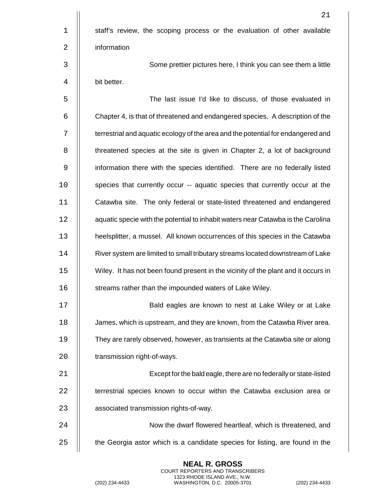|             | 21                                                                                 |
|-------------|------------------------------------------------------------------------------------|
| $\mathbf 1$ | staff's review, the scoping process or the evaluation of other available           |
| 2           | information                                                                        |
| 3           | Some prettier pictures here, I think you can see them a little                     |
| 4           | bit better.                                                                        |
| 5           | The last issue I'd like to discuss, of those evaluated in                          |
| 6           | Chapter 4, is that of threatened and endangered species. A description of the      |
| 7           | terrestrial and aquatic ecology of the area and the potential for endangered and   |
| 8           | threatened species at the site is given in Chapter 2, a lot of background          |
| 9           | information there with the species identified. There are no federally listed       |
| 10          | species that currently occur -- aquatic species that currently occur at the        |
| 11          | Catawba site. The only federal or state-listed threatened and endangered           |
| 12          | aquatic specie with the potential to inhabit waters near Catawba is the Carolina   |
| 13          | heelsplitter, a mussel. All known occurrences of this species in the Catawba       |
| 14          | River system are limited to small tributary streams located downstream of Lake     |
| 15          | Wiley. It has not been found present in the vicinity of the plant and it occurs in |
| 16          | streams rather than the impounded waters of Lake Wiley.                            |
| 17          | Bald eagles are known to nest at Lake Wiley or at Lake                             |
| 18          | James, which is upstream, and they are known, from the Catawba River area.         |
| 19          | They are rarely observed, however, as transients at the Catawba site or along      |
| 20          | transmission right-of-ways.                                                        |
| 21          | Except for the bald eagle, there are no federally or state-listed                  |
| 22          | terrestrial species known to occur within the Catawba exclusion area or            |
| 23          | associated transmission rights-of-way.                                             |
| 24          | Now the dwarf flowered heartleaf, which is threatened, and                         |
| 25          | the Georgia astor which is a candidate species for listing, are found in the       |

(202) 234-4433 WASHINGTON, D.C. 20005-3701 (202) 234-4433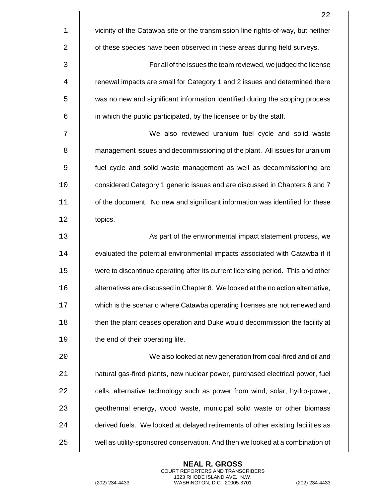|             | 22                                                                               |
|-------------|----------------------------------------------------------------------------------|
| $\mathbf 1$ | vicinity of the Catawba site or the transmission line rights-of-way, but neither |
| 2           | of these species have been observed in these areas during field surveys.         |
| 3           | For all of the issues the team reviewed, we judged the license                   |
| 4           | renewal impacts are small for Category 1 and 2 issues and determined there       |
| 5           | was no new and significant information identified during the scoping process     |
| 6           | in which the public participated, by the licensee or by the staff.               |
| 7           | We also reviewed uranium fuel cycle and solid waste                              |
| 8           | management issues and decommissioning of the plant. All issues for uranium       |
| 9           | fuel cycle and solid waste management as well as decommissioning are             |
| 10          | considered Category 1 generic issues and are discussed in Chapters 6 and 7       |
| 11          | of the document. No new and significant information was identified for these     |
| 12          | topics.                                                                          |
| 13          | As part of the environmental impact statement process, we                        |
| 14          | evaluated the potential environmental impacts associated with Catawba if it      |
| 15          | were to discontinue operating after its current licensing period. This and other |
| 16          | alternatives are discussed in Chapter 8. We looked at the no action alternative, |
| 17          | which is the scenario where Catawba operating licenses are not renewed and       |
| 18          | then the plant ceases operation and Duke would decommission the facility at      |
| 19          | the end of their operating life.                                                 |
| 20          | We also looked at new generation from coal-fired and oil and                     |
| 21          | natural gas-fired plants, new nuclear power, purchased electrical power, fuel    |
| 22          | cells, alternative technology such as power from wind, solar, hydro-power,       |
| 23          | geothermal energy, wood waste, municipal solid waste or other biomass            |
| 24          | derived fuels. We looked at delayed retirements of other existing facilities as  |
| 25          | well as utility-sponsored conservation. And then we looked at a combination of   |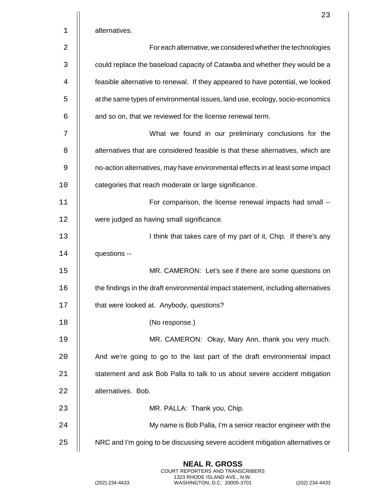|    | 23                                                                               |
|----|----------------------------------------------------------------------------------|
| 1  | alternatives.                                                                    |
| 2  | For each alternative, we considered whether the technologies                     |
| 3  | could replace the baseload capacity of Catawba and whether they would be a       |
| 4  | feasible alternative to renewal. If they appeared to have potential, we looked   |
| 5  | at the same types of environmental issues, land use, ecology, socio-economics    |
| 6  | and so on, that we reviewed for the license renewal term.                        |
| 7  | What we found in our preliminary conclusions for the                             |
| 8  | alternatives that are considered feasible is that these alternatives, which are  |
| 9  | no-action alternatives, may have environmental effects in at least some impact   |
| 10 | categories that reach moderate or large significance.                            |
| 11 | For comparison, the license renewal impacts had small --                         |
| 12 | were judged as having small significance.                                        |
| 13 | I think that takes care of my part of it, Chip. If there's any                   |
| 14 | questions --                                                                     |
| 15 | MR. CAMERON: Let's see if there are some questions on                            |
| 16 | the findings in the draft environmental impact statement, including alternatives |
| 17 | that were looked at. Anybody, questions?                                         |
| 18 | (No response.)                                                                   |
| 19 | MR. CAMERON: Okay, Mary Ann, thank you very much.                                |
| 20 | And we're going to go to the last part of the draft environmental impact         |
| 21 | statement and ask Bob Palla to talk to us about severe accident mitigation       |
| 22 | alternatives. Bob.                                                               |
| 23 | MR. PALLA: Thank you, Chip.                                                      |
| 24 | My name is Bob Palla, I'm a senior reactor engineer with the                     |
| 25 | NRC and I'm going to be discussing severe accident mitigation alternatives or    |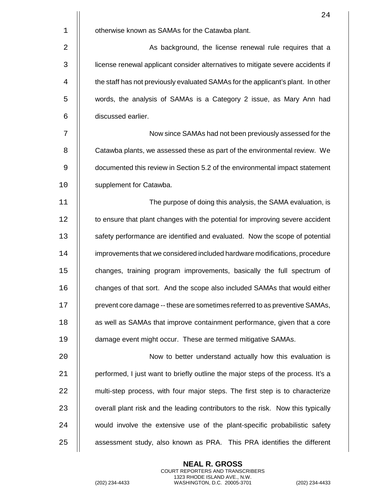| 24                                                                               |
|----------------------------------------------------------------------------------|
| otherwise known as SAMAs for the Catawba plant.                                  |
| As background, the license renewal rule requires that a                          |
| license renewal applicant consider alternatives to mitigate severe accidents if  |
| the staff has not previously evaluated SAMAs for the applicant's plant. In other |
| words, the analysis of SAMAs is a Category 2 issue, as Mary Ann had              |
| discussed earlier.                                                               |
| Now since SAMAs had not been previously assessed for the                         |
| Catawba plants, we assessed these as part of the environmental review. We        |
| documented this review in Section 5.2 of the environmental impact statement      |
| supplement for Catawba.                                                          |
| The purpose of doing this analysis, the SAMA evaluation, is                      |
| to ensure that plant changes with the potential for improving severe accident    |
| safety performance are identified and evaluated. Now the scope of potential      |
| improvements that we considered included hardware modifications, procedure       |
| changes, training program improvements, basically the full spectrum of           |
| changes of that sort. And the scope also included SAMAs that would either        |
| prevent core damage -- these are sometimes referred to as preventive SAMAs,      |
| as well as SAMAs that improve containment performance, given that a core         |
| damage event might occur. These are termed mitigative SAMAs.                     |
| Now to better understand actually how this evaluation is                         |
| performed, I just want to briefly outline the major steps of the process. It's a |
| multi-step process, with four major steps. The first step is to characterize     |
| overall plant risk and the leading contributors to the risk. Now this typically  |
| would involve the extensive use of the plant-specific probabilistic safety       |
| assessment study, also known as PRA. This PRA identifies the different           |
|                                                                                  |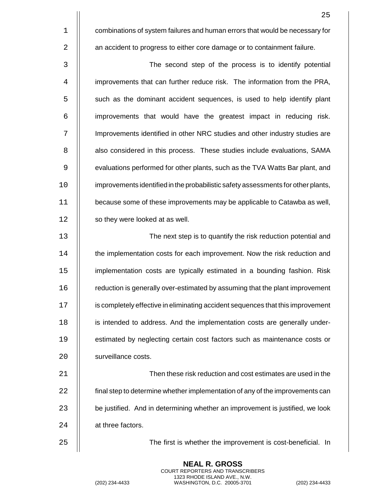1 **1** combinations of system failures and human errors that would be necessary for 2 | an accident to progress to either core damage or to containment failure.

3 The second step of the process is to identify potential 4 | improvements that can further reduce risk. The information from the PRA, 5 | such as the dominant accident sequences, is used to help identify plant  $6$  | improvements that would have the greatest impact in reducing risk. 7 | Improvements identified in other NRC studies and other industry studies are 8 | also considered in this process. These studies include evaluations, SAMA 9 | evaluations performed for other plants, such as the TVA Watts Bar plant, and 10 | improvements identified in the probabilistic safety assessments for other plants, 11 | because some of these improvements may be applicable to Catawba as well, 12 | so they were looked at as well.

 The next step is to quantify the risk reduction potential and **the implementation costs for each improvement. Now the risk reduction and**  implementation costs are typically estimated in a bounding fashion. Risk **Fig.** reduction is generally over-estimated by assuming that the plant improvement **is completely effective in eliminating accident sequences that this improvement i** is intended to address. And the implementation costs are generally under-19 | estimated by neglecting certain cost factors such as maintenance costs or 20 | surveillance costs.

 Then these risk reduction and cost estimates are used in the **final step to determine whether implementation of any of the improvements can**   $\parallel$  be justified. And in determining whether an improvement is justified, we look 24 | at three factors.

25 The first is whether the improvement is cost-beneficial. In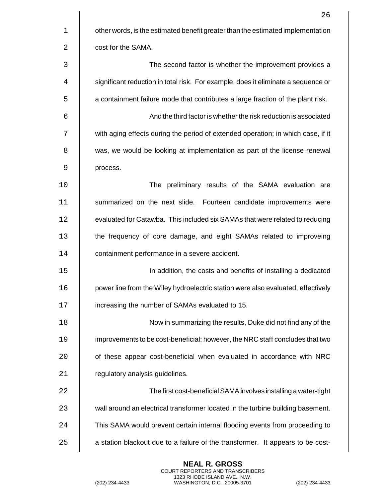|    | 26                                                                                |
|----|-----------------------------------------------------------------------------------|
| 1  | other words, is the estimated benefit greater than the estimated implementation   |
| 2  | cost for the SAMA.                                                                |
| 3  | The second factor is whether the improvement provides a                           |
| 4  | significant reduction in total risk. For example, does it eliminate a sequence or |
| 5  | a containment failure mode that contributes a large fraction of the plant risk.   |
| 6  | And the third factor is whether the risk reduction is associated                  |
| 7  | with aging effects during the period of extended operation; in which case, if it  |
| 8  | was, we would be looking at implementation as part of the license renewal         |
| 9  | process.                                                                          |
| 10 | The preliminary results of the SAMA evaluation are                                |
| 11 | summarized on the next slide. Fourteen candidate improvements were                |
| 12 | evaluated for Catawba. This included six SAMAs that were related to reducing      |
| 13 | the frequency of core damage, and eight SAMAs related to improveing               |
| 14 | containment performance in a severe accident.                                     |
| 15 | In addition, the costs and benefits of installing a dedicated                     |
| 16 | power line from the Wiley hydroelectric station were also evaluated, effectively  |
| 17 | increasing the number of SAMAs evaluated to 15.                                   |
| 18 | Now in summarizing the results, Duke did not find any of the                      |
| 19 | improvements to be cost-beneficial; however, the NRC staff concludes that two     |
| 20 | of these appear cost-beneficial when evaluated in accordance with NRC             |
| 21 | regulatory analysis guidelines.                                                   |
| 22 | The first cost-beneficial SAMA involves installing a water-tight                  |
| 23 | wall around an electrical transformer located in the turbine building basement.   |
| 24 | This SAMA would prevent certain internal flooding events from proceeding to       |
| 25 | a station blackout due to a failure of the transformer. It appears to be cost-    |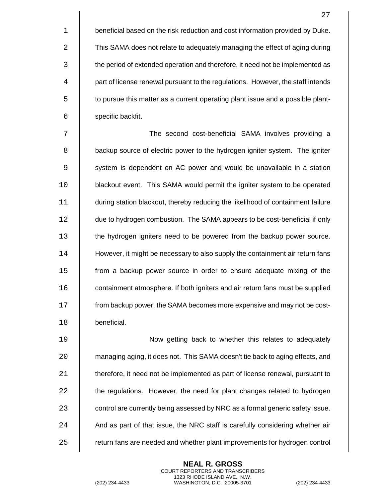**beneficial based on the risk reduction and cost information provided by Duke. This SAMA does not relate to adequately managing the effect of aging during the period of extended operation and therefore, it need not be implemented as** 4 | part of license renewal pursuant to the regulations. However, the staff intends **the pursue this matter as a current operating plant issue and a possible plant-**6 | specific backfit.

7 || The second cost-beneficial SAMA involves providing a **b** backup source of electric power to the hydrogen igniter system. The igniter 9 | system is dependent on AC power and would be unavailable in a station **blackout event. This SAMA would permit the igniter system to be operated**  during station blackout, thereby reducing the likelihood of containment failure 12 | due to hydrogen combustion. The SAMA appears to be cost-beneficial if only the hydrogen igniters need to be powered from the backup power source. **However, it might be necessary to also supply the containment air return fans**  from a backup power source in order to ensure adequate mixing of the **containment atmosphere. If both igniters and air return fans must be supplied** 17 | from backup power, the SAMA becomes more expensive and may not be cost-beneficial.

 Now getting back to whether this relates to adequately **Fig.** managing aging, it does not. This SAMA doesn't tie back to aging effects, and  $\parallel$  therefore, it need not be implemented as part of license renewal, pursuant to **the regulations.** However, the need for plant changes related to hydrogen  $\parallel$  control are currently being assessed by NRC as a formal generic safety issue. || And as part of that issue, the NRC staff is carefully considering whether air **Fig.** return fans are needed and whether plant improvements for hydrogen control

> **NEAL R. GROSS** COURT REPORTERS AND TRANSCRIBERS 1323 RHODE ISLAND AVE., N.W.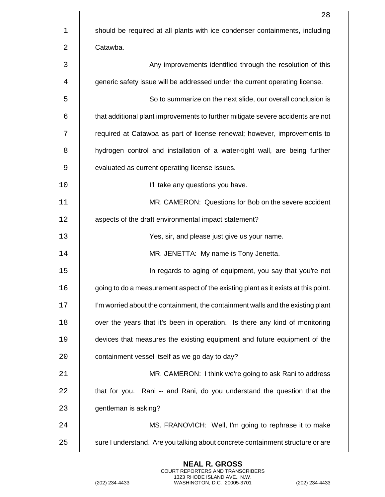|    | 28                                                                                 |
|----|------------------------------------------------------------------------------------|
| 1  | should be required at all plants with ice condenser containments, including        |
| 2  | Catawba.                                                                           |
| 3  | Any improvements identified through the resolution of this                         |
| 4  | generic safety issue will be addressed under the current operating license.        |
| 5  | So to summarize on the next slide, our overall conclusion is                       |
| 6  | that additional plant improvements to further mitigate severe accidents are not    |
| 7  | required at Catawba as part of license renewal; however, improvements to           |
| 8  | hydrogen control and installation of a water-tight wall, are being further         |
| 9  | evaluated as current operating license issues.                                     |
| 10 | I'll take any questions you have.                                                  |
| 11 | MR. CAMERON: Questions for Bob on the severe accident                              |
| 12 | aspects of the draft environmental impact statement?                               |
| 13 | Yes, sir, and please just give us your name.                                       |
| 14 | MR. JENETTA: My name is Tony Jenetta.                                              |
| 15 | In regards to aging of equipment, you say that you're not                          |
| 16 | going to do a measurement aspect of the existing plant as it exists at this point. |
| 17 | I'm worried about the containment, the containment walls and the existing plant    |
| 18 | over the years that it's been in operation. Is there any kind of monitoring        |
| 19 | devices that measures the existing equipment and future equipment of the           |
| 20 | containment vessel itself as we go day to day?                                     |
| 21 | MR. CAMERON: I think we're going to ask Rani to address                            |
| 22 | that for you. Rani -- and Rani, do you understand the question that the            |
| 23 | gentleman is asking?                                                               |
| 24 | MS. FRANOVICH: Well, I'm going to rephrase it to make                              |
| 25 | sure I understand. Are you talking about concrete containment structure or are     |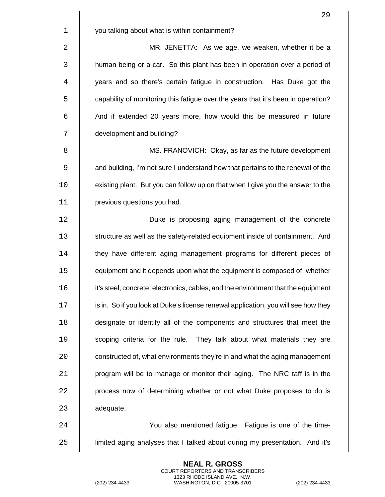|              | 29                                                                                 |
|--------------|------------------------------------------------------------------------------------|
| $\mathbf 1$  | you talking about what is within containment?                                      |
| 2            | MR. JENETTA: As we age, we weaken, whether it be a                                 |
| $\mathbf{3}$ | human being or a car. So this plant has been in operation over a period of         |
| 4            | years and so there's certain fatigue in construction. Has Duke got the             |
| 5            | capability of monitoring this fatigue over the years that it's been in operation?  |
| 6            | And if extended 20 years more, how would this be measured in future                |
| 7            | development and building?                                                          |
| 8            | MS. FRANOVICH: Okay, as far as the future development                              |
| 9            | and building, I'm not sure I understand how that pertains to the renewal of the    |
| 10           | existing plant. But you can follow up on that when I give you the answer to the    |
| 11           | previous questions you had.                                                        |
| 12           | Duke is proposing aging management of the concrete                                 |
| 13           | structure as well as the safety-related equipment inside of containment. And       |
| 14           | they have different aging management programs for different pieces of              |
| 15           | equipment and it depends upon what the equipment is composed of, whether           |
| 16           | it's steel, concrete, electronics, cables, and the environment that the equipment  |
| 17           | is in. So if you look at Duke's license renewal application, you will see how they |
| 18           | designate or identify all of the components and structures that meet the           |
| 19           | scoping criteria for the rule. They talk about what materials they are             |
| 20           | constructed of, what environments they're in and what the aging management         |
| 21           | program will be to manage or monitor their aging. The NRC taff is in the           |
| 22           | process now of determining whether or not what Duke proposes to do is              |
| 23           | adequate.                                                                          |
| 24           | You also mentioned fatigue. Fatigue is one of the time-                            |
| 25           | limited aging analyses that I talked about during my presentation. And it's        |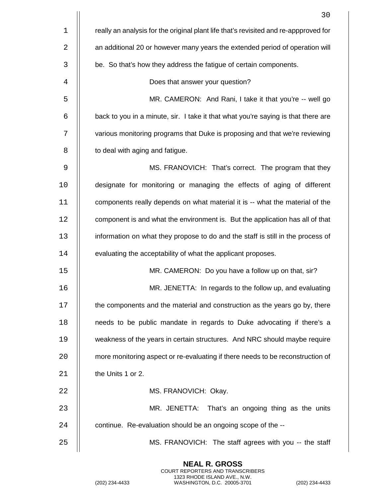|    | 30                                                                                   |
|----|--------------------------------------------------------------------------------------|
| 1  | really an analysis for the original plant life that's revisited and re-appproved for |
| 2  | an additional 20 or however many years the extended period of operation will         |
| 3  | be. So that's how they address the fatigue of certain components.                    |
| 4  | Does that answer your question?                                                      |
| 5  | MR. CAMERON: And Rani, I take it that you're -- well go                              |
| 6  | back to you in a minute, sir. I take it that what you're saying is that there are    |
| 7  | various monitoring programs that Duke is proposing and that we're reviewing          |
| 8  | to deal with aging and fatigue.                                                      |
| 9  | MS. FRANOVICH: That's correct. The program that they                                 |
| 10 | designate for monitoring or managing the effects of aging of different               |
| 11 | components really depends on what material it is -- what the material of the         |
| 12 | component is and what the environment is. But the application has all of that        |
| 13 | information on what they propose to do and the staff is still in the process of      |
| 14 | evaluating the acceptability of what the applicant proposes.                         |
| 15 | MR. CAMERON: Do you have a follow up on that, sir?                                   |
| 16 | MR. JENETTA: In regards to the follow up, and evaluating                             |
| 17 | the components and the material and construction as the years go by, there           |
| 18 | needs to be public mandate in regards to Duke advocating if there's a                |
| 19 | weakness of the years in certain structures. And NRC should maybe require            |
| 20 | more monitoring aspect or re-evaluating if there needs to be reconstruction of       |
| 21 | the Units 1 or 2.                                                                    |
| 22 | MS. FRANOVICH: Okay.                                                                 |
| 23 | That's an ongoing thing as the units<br>MR. JENETTA:                                 |
| 24 | continue. Re-evaluation should be an ongoing scope of the --                         |
| 25 | MS. FRANOVICH: The staff agrees with you -- the staff                                |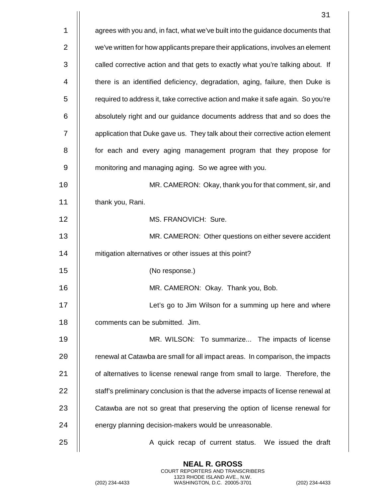|    | 31                                                                               |
|----|----------------------------------------------------------------------------------|
| 1  | agrees with you and, in fact, what we've built into the guidance documents that  |
| 2  | we've written for how applicants prepare their applications, involves an element |
| 3  | called corrective action and that gets to exactly what you're talking about. If  |
| 4  | there is an identified deficiency, degradation, aging, failure, then Duke is     |
| 5  | required to address it, take corrective action and make it safe again. So you're |
| 6  | absolutely right and our guidance documents address that and so does the         |
| 7  | application that Duke gave us. They talk about their corrective action element   |
| 8  | for each and every aging management program that they propose for                |
| 9  | monitoring and managing aging. So we agree with you.                             |
| 10 | MR. CAMERON: Okay, thank you for that comment, sir, and                          |
| 11 | thank you, Rani.                                                                 |
| 12 | MS. FRANOVICH: Sure.                                                             |
| 13 | MR. CAMERON: Other questions on either severe accident                           |
| 14 | mitigation alternatives or other issues at this point?                           |
| 15 | (No response.)                                                                   |
| 16 | MR. CAMERON: Okay. Thank you, Bob.                                               |
| 17 | Let's go to Jim Wilson for a summing up here and where                           |
| 18 | comments can be submitted. Jim.                                                  |
| 19 | MR. WILSON: To summarize The impacts of license                                  |
| 20 | renewal at Catawba are small for all impact areas. In comparison, the impacts    |
| 21 | of alternatives to license renewal range from small to large. Therefore, the     |
| 22 | staff's preliminary conclusion is that the adverse impacts of license renewal at |
| 23 | Catawba are not so great that preserving the option of license renewal for       |
| 24 | energy planning decision-makers would be unreasonable.                           |
| 25 | A quick recap of current status. We issued the draft                             |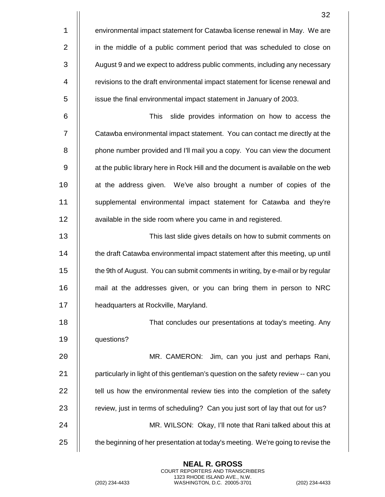|             | 32                                                                                 |
|-------------|------------------------------------------------------------------------------------|
| $\mathbf 1$ | environmental impact statement for Catawba license renewal in May. We are          |
| 2           | in the middle of a public comment period that was scheduled to close on            |
| 3           | August 9 and we expect to address public comments, including any necessary         |
| 4           | revisions to the draft environmental impact statement for license renewal and      |
| 5           | issue the final environmental impact statement in January of 2003.                 |
| 6           | <b>This</b><br>slide provides information on how to access the                     |
| 7           | Catawba environmental impact statement. You can contact me directly at the         |
| 8           | phone number provided and I'll mail you a copy. You can view the document          |
| 9           | at the public library here in Rock Hill and the document is available on the web   |
| 10          | at the address given. We've also brought a number of copies of the                 |
| 11          | supplemental environmental impact statement for Catawba and they're                |
| 12          | available in the side room where you came in and registered.                       |
| 13          | This last slide gives details on how to submit comments on                         |
| 14          | the draft Catawba environmental impact statement after this meeting, up until      |
| 15          | the 9th of August. You can submit comments in writing, by e-mail or by regular     |
| 16          | mail at the addresses given, or you can bring them in person to NRC                |
| 17          | headquarters at Rockville, Maryland.                                               |
| 18          | That concludes our presentations at today's meeting. Any                           |
| 19          | questions?                                                                         |
| 20          | MR. CAMERON: Jim, can you just and perhaps Rani,                                   |
| 21          | particularly in light of this gentleman's question on the safety review -- can you |
| 22          | tell us how the environmental review ties into the completion of the safety        |
| 23          | review, just in terms of scheduling? Can you just sort of lay that out for us?     |
| 24          | MR. WILSON: Okay, I'll note that Rani talked about this at                         |
| 25          | the beginning of her presentation at today's meeting. We're going to revise the    |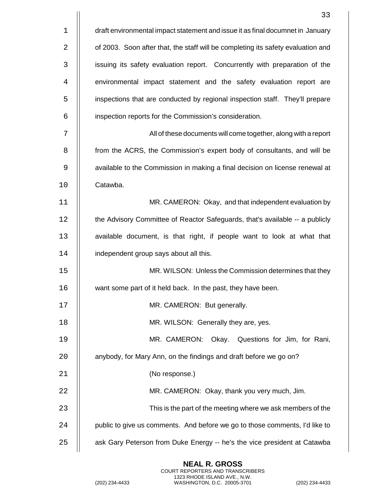|    | 33                                                                               |
|----|----------------------------------------------------------------------------------|
| 1  | draft environmental impact statement and issue it as final documnet in January   |
| 2  | of 2003. Soon after that, the staff will be completing its safety evaluation and |
| 3  | issuing its safety evaluation report. Concurrently with preparation of the       |
| 4  | environmental impact statement and the safety evaluation report are              |
| 5  | inspections that are conducted by regional inspection staff. They'll prepare     |
| 6  | inspection reports for the Commission's consideration.                           |
| 7  | All of these documents will come together, along with a report                   |
| 8  | from the ACRS, the Commission's expert body of consultants, and will be          |
| 9  | available to the Commission in making a final decision on license renewal at     |
| 10 | Catawba.                                                                         |
| 11 | MR. CAMERON: Okay, and that independent evaluation by                            |
| 12 | the Advisory Committee of Reactor Safeguards, that's available -- a publicly     |
| 13 | available document, is that right, if people want to look at what that           |
| 14 | independent group says about all this.                                           |
| 15 | MR. WILSON: Unless the Commission determines that they                           |
| 16 | want some part of it held back. In the past, they have been.                     |
| 17 | MR. CAMERON: But generally.                                                      |
| 18 | MR. WILSON: Generally they are, yes.                                             |
| 19 | MR. CAMERON:<br>Okay. Questions for Jim, for Rani,                               |
| 20 | anybody, for Mary Ann, on the findings and draft before we go on?                |
| 21 | (No response.)                                                                   |
| 22 | MR. CAMERON: Okay, thank you very much, Jim.                                     |
| 23 | This is the part of the meeting where we ask members of the                      |
| 24 | public to give us comments. And before we go to those comments, I'd like to      |
| 25 | ask Gary Peterson from Duke Energy -- he's the vice president at Catawba         |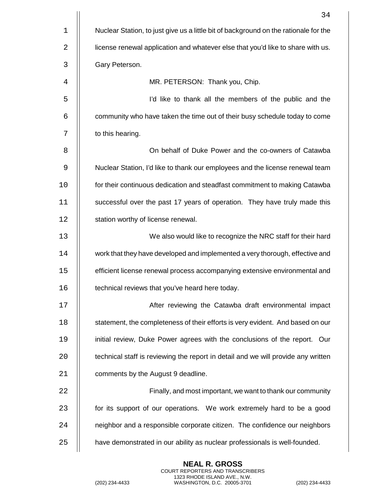|    | 34                                                                                   |
|----|--------------------------------------------------------------------------------------|
| 1  | Nuclear Station, to just give us a little bit of background on the rationale for the |
| 2  | license renewal application and whatever else that you'd like to share with us.      |
| 3  | Gary Peterson.                                                                       |
| 4  | MR. PETERSON: Thank you, Chip.                                                       |
| 5  | I'd like to thank all the members of the public and the                              |
| 6  | community who have taken the time out of their busy schedule today to come           |
| 7  | to this hearing.                                                                     |
| 8  | On behalf of Duke Power and the co-owners of Catawba                                 |
| 9  | Nuclear Station, I'd like to thank our employees and the license renewal team        |
| 10 | for their continuous dedication and steadfast commitment to making Catawba           |
| 11 | successful over the past 17 years of operation. They have truly made this            |
| 12 | station worthy of license renewal.                                                   |
| 13 | We also would like to recognize the NRC staff for their hard                         |
| 14 | work that they have developed and implemented a very thorough, effective and         |
| 15 | efficient license renewal process accompanying extensive environmental and           |
| 16 | technical reviews that you've heard here today.                                      |
| 17 | After reviewing the Catawba draft environmental impact                               |
| 18 | statement, the completeness of their efforts is very evident. And based on our       |
| 19 | initial review, Duke Power agrees with the conclusions of the report. Our            |
| 20 | technical staff is reviewing the report in detail and we will provide any written    |
| 21 | comments by the August 9 deadline.                                                   |
| 22 | Finally, and most important, we want to thank our community                          |
| 23 | for its support of our operations. We work extremely hard to be a good               |
| 24 | neighbor and a responsible corporate citizen. The confidence our neighbors           |
| 25 | have demonstrated in our ability as nuclear professionals is well-founded.           |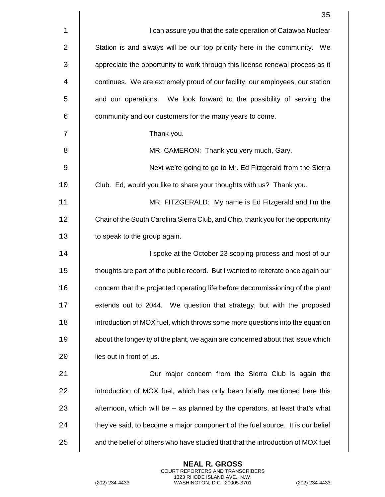|    | 35                                                                               |
|----|----------------------------------------------------------------------------------|
| 1  | I can assure you that the safe operation of Catawba Nuclear                      |
| 2  | Station is and always will be our top priority here in the community. We         |
| 3  | appreciate the opportunity to work through this license renewal process as it    |
| 4  | continues. We are extremely proud of our facility, our employees, our station    |
| 5  | and our operations. We look forward to the possibility of serving the            |
| 6  | community and our customers for the many years to come.                          |
| 7  | Thank you.                                                                       |
| 8  | MR. CAMERON: Thank you very much, Gary.                                          |
| 9  | Next we're going to go to Mr. Ed Fitzgerald from the Sierra                      |
| 10 | Club. Ed, would you like to share your thoughts with us? Thank you.              |
| 11 | MR. FITZGERALD: My name is Ed Fitzgerald and I'm the                             |
| 12 | Chair of the South Carolina Sierra Club, and Chip, thank you for the opportunity |
| 13 | to speak to the group again.                                                     |
| 14 | I spoke at the October 23 scoping process and most of our                        |
| 15 | thoughts are part of the public record. But I wanted to reiterate once again our |
| 16 | concern that the projected operating life before decommissioning of the plant    |
| 17 | extends out to 2044. We question that strategy, but with the proposed            |
| 18 | introduction of MOX fuel, which throws some more questions into the equation     |
| 19 | about the longevity of the plant, we again are concerned about that issue which  |
| 20 | lies out in front of us.                                                         |
| 21 | Our major concern from the Sierra Club is again the                              |
| 22 | introduction of MOX fuel, which has only been briefly mentioned here this        |
| 23 | afternoon, which will be -- as planned by the operators, at least that's what    |
| 24 | they've said, to become a major component of the fuel source. It is our belief   |
| 25 | and the belief of others who have studied that that the introduction of MOX fuel |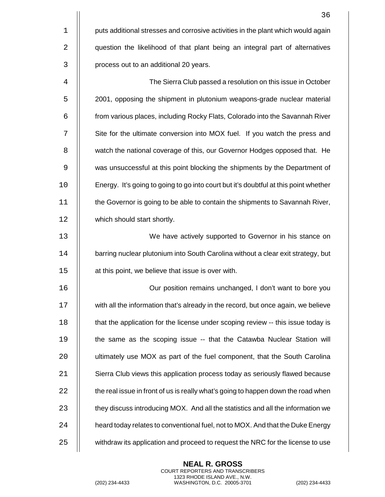|    | 36                                                                                   |
|----|--------------------------------------------------------------------------------------|
| 1  | puts additional stresses and corrosive activities in the plant which would again     |
| 2  | question the likelihood of that plant being an integral part of alternatives         |
| 3  | process out to an additional 20 years.                                               |
| 4  | The Sierra Club passed a resolution on this issue in October                         |
| 5  | 2001, opposing the shipment in plutonium weapons-grade nuclear material              |
| 6  | from various places, including Rocky Flats, Colorado into the Savannah River         |
| 7  | Site for the ultimate conversion into MOX fuel. If you watch the press and           |
| 8  | watch the national coverage of this, our Governor Hodges opposed that. He            |
| 9  | was unsuccessful at this point blocking the shipments by the Department of           |
| 10 | Energy. It's going to going to go into court but it's doubtful at this point whether |
| 11 | the Governor is going to be able to contain the shipments to Savannah River,         |
| 12 | which should start shortly.                                                          |
| 13 | We have actively supported to Governor in his stance on                              |
| 14 | barring nuclear plutonium into South Carolina without a clear exit strategy, but     |
| 15 | at this point, we believe that issue is over with.                                   |
| 16 | Our position remains unchanged, I don't want to bore you                             |
| 17 | with all the information that's already in the record, but once again, we believe    |
| 18 | that the application for the license under scoping review -- this issue today is     |
| 19 | the same as the scoping issue -- that the Catawba Nuclear Station will               |
| 20 | ultimately use MOX as part of the fuel component, that the South Carolina            |
| 21 | Sierra Club views this application process today as seriously flawed because         |
| 22 | the real issue in front of us is really what's going to happen down the road when    |
| 23 | they discuss introducing MOX. And all the statistics and all the information we      |
| 24 | heard today relates to conventional fuel, not to MOX. And that the Duke Energy       |
| 25 | withdraw its application and proceed to request the NRC for the license to use       |